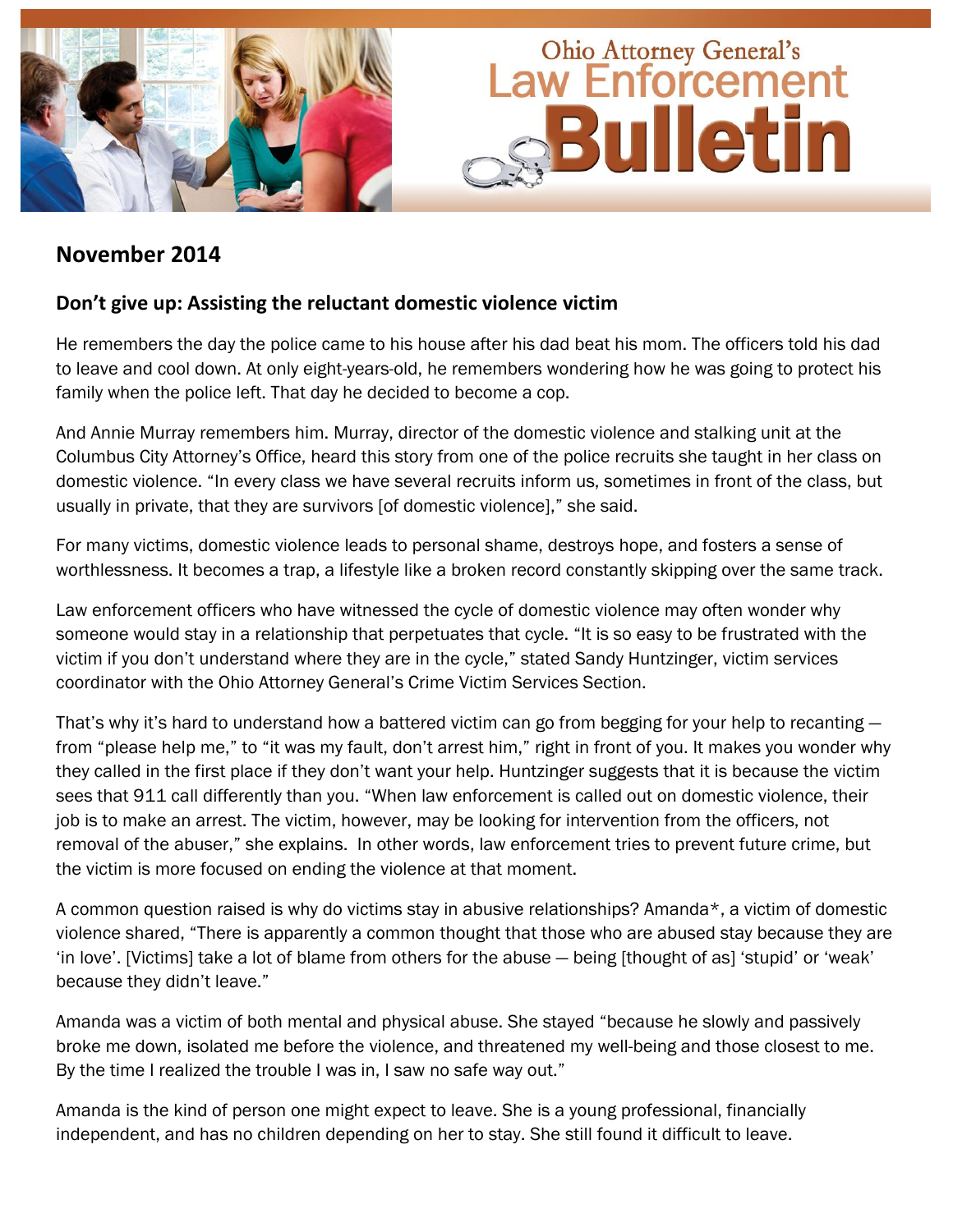

# **November 2014**

## **Don't give up: Assisting the reluctant domestic violence victim**

He remembers the day the police came to his house after his dad beat his mom. The officers told his dad to leave and cool down. At only eight-years-old, he remembers wondering how he was going to protect his family when the police left. That day he decided to become a cop.

And Annie Murray remembers him. Murray, director of the domestic violence and stalking unit at the Columbus City Attorney"s Office, heard this story from one of the police recruits she taught in her class on domestic violence. "In every class we have several recruits inform us, sometimes in front of the class, but usually in private, that they are survivors [of domestic violence]," she said.

For many victims, domestic violence leads to personal shame, destroys hope, and fosters a sense of worthlessness. It becomes a trap, a lifestyle like a broken record constantly skipping over the same track.

Law enforcement officers who have witnessed the cycle of domestic violence may often wonder why someone would stay in a relationship that perpetuates that cycle. "It is so easy to be frustrated with the victim if you don"t understand where they are in the cycle," stated Sandy Huntzinger, victim services coordinator with the Ohio Attorney General"s Crime Victim Services Section.

That's why it's hard to understand how a battered victim can go from begging for your help to recanting  $$ from "please help me," to "it was my fault, don't arrest him," right in front of you. It makes you wonder why they called in the first place if they don"t want your help. Huntzinger suggests that it is because the victim sees that 911 call differently than you. "When law enforcement is called out on domestic violence, their job is to make an arrest. The victim, however, may be looking for intervention from the officers, not removal of the abuser," she explains. In other words, law enforcement tries to prevent future crime, but the victim is more focused on ending the violence at that moment.

A common question raised is why do victims stay in abusive relationships? Amanda\*, a victim of domestic violence shared, "There is apparently a common thought that those who are abused stay because they are 'in love'. [Victims] take a lot of blame from others for the abuse - being [thought of as] 'stupid' or 'weak' because they didn"t leave."

Amanda was a victim of both mental and physical abuse. She stayed "because he slowly and passively broke me down, isolated me before the violence, and threatened my well-being and those closest to me. By the time I realized the trouble I was in, I saw no safe way out."

Amanda is the kind of person one might expect to leave. She is a young professional, financially independent, and has no children depending on her to stay. She still found it difficult to leave.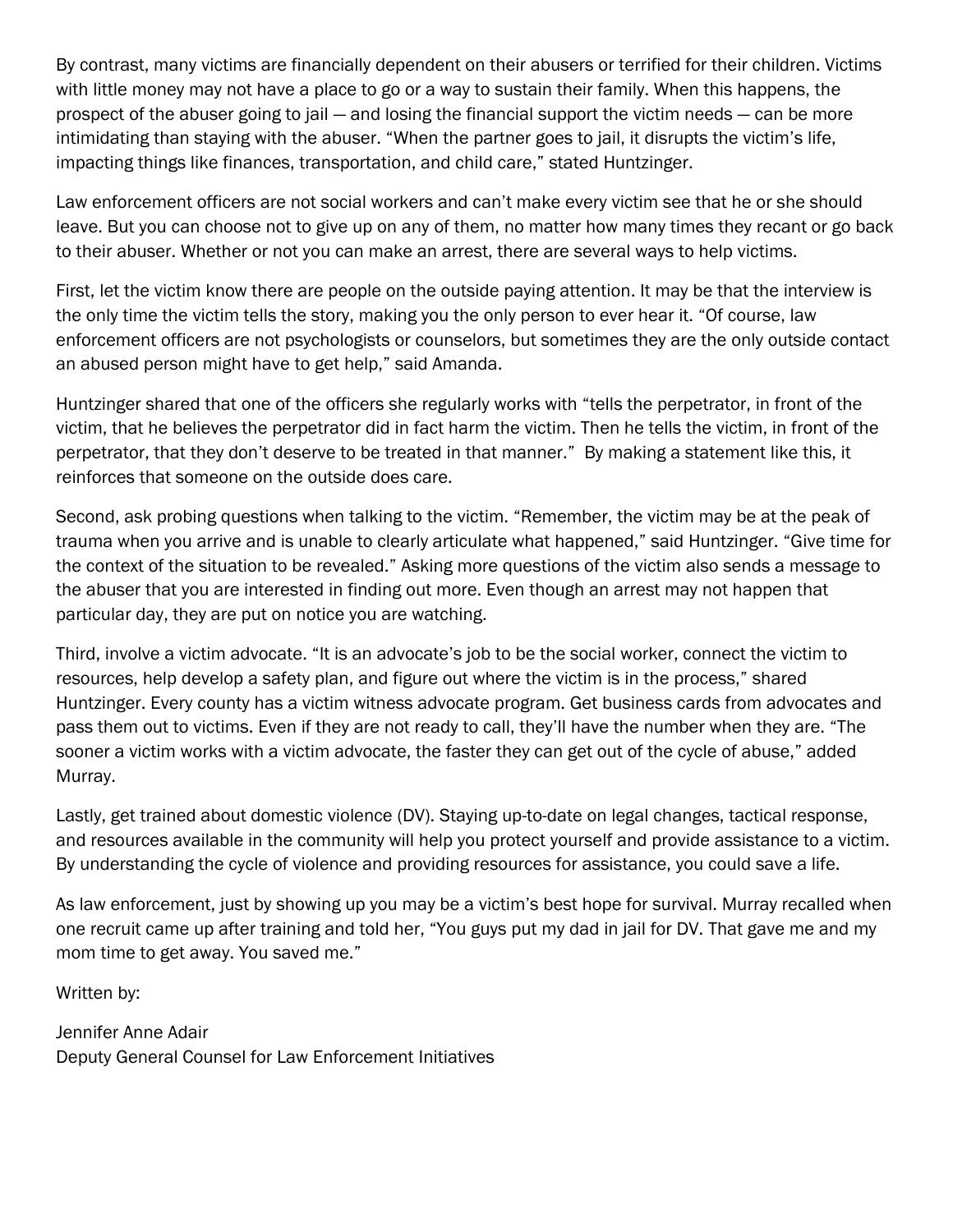By contrast, many victims are financially dependent on their abusers or terrified for their children. Victims with little money may not have a place to go or a way to sustain their family. When this happens, the prospect of the abuser going to jail — and losing the financial support the victim needs — can be more intimidating than staying with the abuser. "When the partner goes to jail, it disrupts the victim"s life, impacting things like finances, transportation, and child care," stated Huntzinger.

Law enforcement officers are not social workers and can"t make every victim see that he or she should leave. But you can choose not to give up on any of them, no matter how many times they recant or go back to their abuser. Whether or not you can make an arrest, there are several ways to help victims.

First, let the victim know there are people on the outside paying attention. It may be that the interview is the only time the victim tells the story, making you the only person to ever hear it. "Of course, law enforcement officers are not psychologists or counselors, but sometimes they are the only outside contact an abused person might have to get help," said Amanda.

Huntzinger shared that one of the officers she regularly works with "tells the perpetrator, in front of the victim, that he believes the perpetrator did in fact harm the victim. Then he tells the victim, in front of the perpetrator, that they don"t deserve to be treated in that manner." By making a statement like this, it reinforces that someone on the outside does care.

Second, ask probing questions when talking to the victim. "Remember, the victim may be at the peak of trauma when you arrive and is unable to clearly articulate what happened," said Huntzinger. "Give time for the context of the situation to be revealed." Asking more questions of the victim also sends a message to the abuser that you are interested in finding out more. Even though an arrest may not happen that particular day, they are put on notice you are watching.

Third, involve a victim advocate. "It is an advocate"s job to be the social worker, connect the victim to resources, help develop a safety plan, and figure out where the victim is in the process," shared Huntzinger. Every county has a victim witness advocate program. Get business cards from advocates and pass them out to victims. Even if they are not ready to call, they"ll have the number when they are. "The sooner a victim works with a victim advocate, the faster they can get out of the cycle of abuse," added Murray.

Lastly, get trained about domestic violence (DV). Staying up-to-date on legal changes, tactical response, and resources available in the community will help you protect yourself and provide assistance to a victim. By understanding the cycle of violence and providing resources for assistance, you could save a life.

As law enforcement, just by showing up you may be a victim"s best hope for survival. Murray recalled when one recruit came up after training and told her, "You guys put my dad in jail for DV. That gave me and my mom time to get away. You saved me."

Written by:

Jennifer Anne Adair Deputy General Counsel for Law Enforcement Initiatives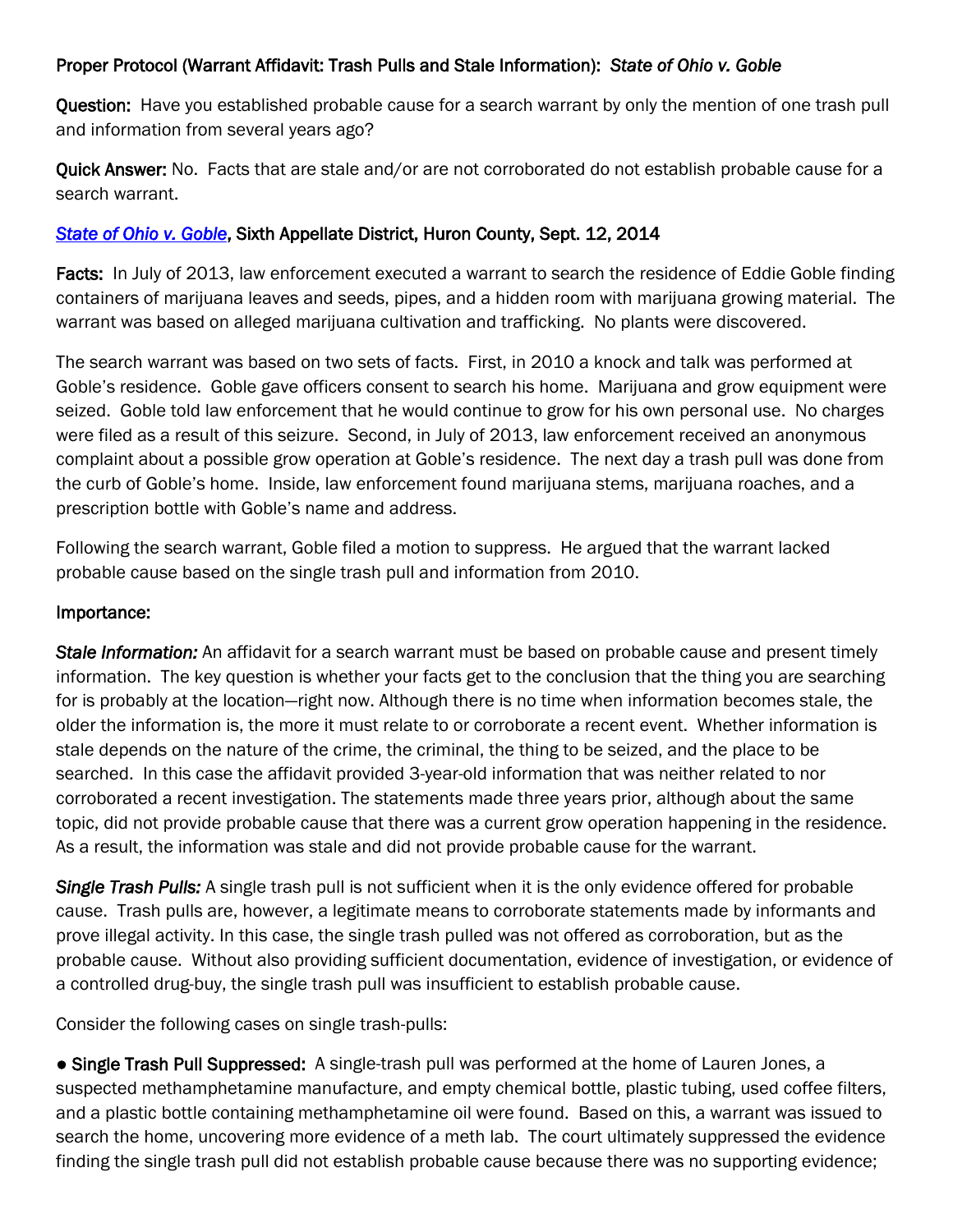## Proper Protocol (Warrant Affidavit: Trash Pulls and Stale Information): *State of Ohio v. Goble*

Question: Have you established probable cause for a search warrant by only the mention of one trash pull and information from several years ago?

Quick Answer: No. Facts that are stale and/or are not corroborated do not establish probable cause for a search warrant.

## *[State of Ohio v. Goble](http://www.sconet.state.oh.us/rod/docs/pdf/6/2014/2014-ohio-3967.pdf)*, Sixth Appellate District, Huron County, Sept. 12, 2014

Facts: In July of 2013, law enforcement executed a warrant to search the residence of Eddie Goble finding containers of marijuana leaves and seeds, pipes, and a hidden room with marijuana growing material. The warrant was based on alleged marijuana cultivation and trafficking. No plants were discovered.

The search warrant was based on two sets of facts. First, in 2010 a knock and talk was performed at Goble"s residence. Goble gave officers consent to search his home. Marijuana and grow equipment were seized. Goble told law enforcement that he would continue to grow for his own personal use. No charges were filed as a result of this seizure. Second, in July of 2013, law enforcement received an anonymous complaint about a possible grow operation at Goble"s residence. The next day a trash pull was done from the curb of Goble"s home. Inside, law enforcement found marijuana stems, marijuana roaches, and a prescription bottle with Goble"s name and address.

Following the search warrant, Goble filed a motion to suppress. He argued that the warrant lacked probable cause based on the single trash pull and information from 2010.

#### Importance:

*Stale Information:* An affidavit for a search warrant must be based on probable cause and present timely information. The key question is whether your facts get to the conclusion that the thing you are searching for is probably at the location—right now. Although there is no time when information becomes stale, the older the information is, the more it must relate to or corroborate a recent event. Whether information is stale depends on the nature of the crime, the criminal, the thing to be seized, and the place to be searched. In this case the affidavit provided 3-year-old information that was neither related to nor corroborated a recent investigation. The statements made three years prior, although about the same topic, did not provide probable cause that there was a current grow operation happening in the residence. As a result, the information was stale and did not provide probable cause for the warrant.

*Single Trash Pulls:* A single trash pull is not sufficient when it is the only evidence offered for probable cause. Trash pulls are, however, a legitimate means to corroborate statements made by informants and prove illegal activity. In this case, the single trash pulled was not offered as corroboration, but as the probable cause. Without also providing sufficient documentation, evidence of investigation, or evidence of a controlled drug-buy, the single trash pull was insufficient to establish probable cause.

Consider the following cases on single trash-pulls:

● Single Trash Pull Suppressed: A single-trash pull was performed at the home of Lauren Jones, a suspected methamphetamine manufacture, and empty chemical bottle, plastic tubing, used coffee filters, and a plastic bottle containing methamphetamine oil were found. Based on this, a warrant was issued to search the home, uncovering more evidence of a meth lab. The court ultimately suppressed the evidence finding the single trash pull did not establish probable cause because there was no supporting evidence;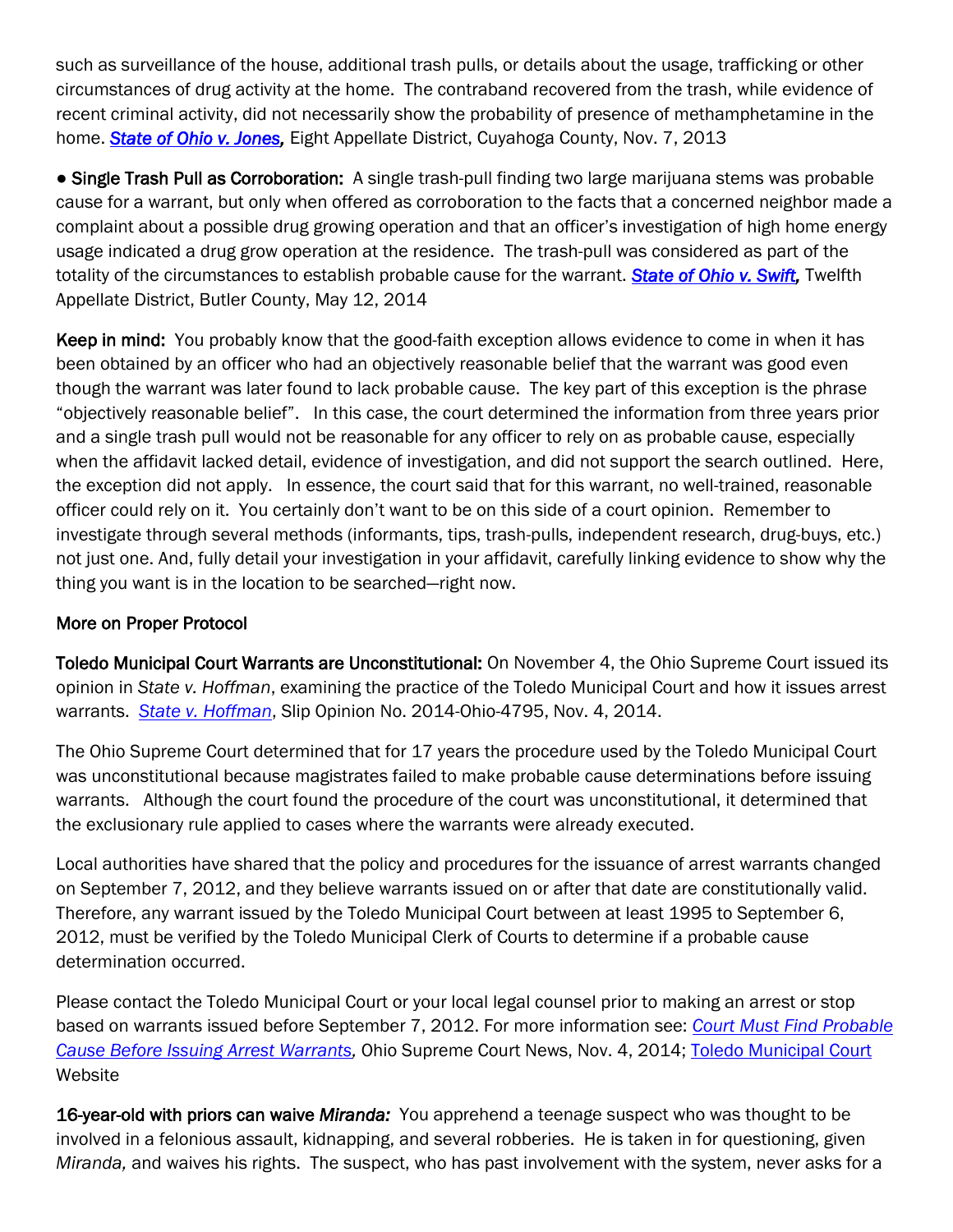such as surveillance of the house, additional trash pulls, or details about the usage, trafficking or other circumstances of drug activity at the home. The contraband recovered from the trash, while evidence of recent criminal activity, did not necessarily show the probability of presence of methamphetamine in the home. *[State of Ohio v. Jones,](http://www.sconet.state.oh.us/rod/docs/pdf/8/2013/2013-ohio-4915.pdf)* Eight Appellate District, Cuyahoga County, Nov. 7, 2013

● Single Trash Pull as Corroboration:A single trash-pull finding two large marijuana stems was probable cause for a warrant, but only when offered as corroboration to the facts that a concerned neighbor made a complaint about a possible drug growing operation and that an officer"s investigation of high home energy usage indicated a drug grow operation at the residence. The trash-pull was considered as part of the totality of the circumstances to establish probable cause for the warrant. *[State of Ohio v. Swift,](http://www.sconet.state.oh.us/rod/docs/pdf/12/2014/2014-ohio-2004.pdf)* Twelfth Appellate District, Butler County, May 12, 2014

Keep in mind: You probably know that the good-faith exception allows evidence to come in when it has been obtained by an officer who had an objectively reasonable belief that the warrant was good even though the warrant was later found to lack probable cause. The key part of this exception is the phrase "objectively reasonable belief". In this case, the court determined the information from three years prior and a single trash pull would not be reasonable for any officer to rely on as probable cause, especially when the affidavit lacked detail, evidence of investigation, and did not support the search outlined. Here, the exception did not apply. In essence, the court said that for this warrant, no well-trained, reasonable officer could rely on it. You certainly don"t want to be on this side of a court opinion. Remember to investigate through several methods (informants, tips, trash-pulls, independent research, drug-buys, etc.) not just one. And, fully detail your investigation in your affidavit, carefully linking evidence to show why the thing you want is in the location to be searched—right now.

## More on Proper Protocol

Toledo Municipal Court Warrants are Unconstitutional: On November 4, the Ohio Supreme Court issued its opinion in *State v. Hoffman*, examining the practice of the Toledo Municipal Court and how it issues arrest warrants. *[State v. Hoffman](http://www.sconet.state.oh.us/rod/docs/pdf/0/2014/2014-ohio-4795.pdf)*, Slip Opinion No. 2014-Ohio-4795, Nov. 4, 2014.

The Ohio Supreme Court determined that for 17 years the procedure used by the Toledo Municipal Court was unconstitutional because magistrates failed to make probable cause determinations before issuing warrants. Although the court found the procedure of the court was unconstitutional, it determined that the exclusionary rule applied to cases where the warrants were already executed.

Local authorities have shared that the policy and procedures for the issuance of arrest warrants changed on September 7, 2012, and they believe warrants issued on or after that date are constitutionally valid. Therefore, any warrant issued by the Toledo Municipal Court between at least 1995 to September 6, 2012, must be verified by the Toledo Municipal Clerk of Courts to determine if a probable cause determination occurred.

Please contact the Toledo Municipal Court or your local legal counsel prior to making an arrest or stop based on warrants issued before September 7, 2012. For more information see: *[Court Must Find Probable](http://www.courtnewsohio.gov/cases/2014/SCO/1104/130688.asp)  [Cause Before Issuing Arrest Warrants,](http://www.courtnewsohio.gov/cases/2014/SCO/1104/130688.asp)* Ohio Supreme Court News, Nov. 4, 2014; [Toledo Municipal Court](http://www.toledomunicipalcourt.org/) Website

16-year-old with priors can waive *Miranda:* You apprehend a teenage suspect who was thought to be involved in a felonious assault, kidnapping, and several robberies. He is taken in for questioning, given *Miranda,* and waives his rights. The suspect, who has past involvement with the system, never asks for a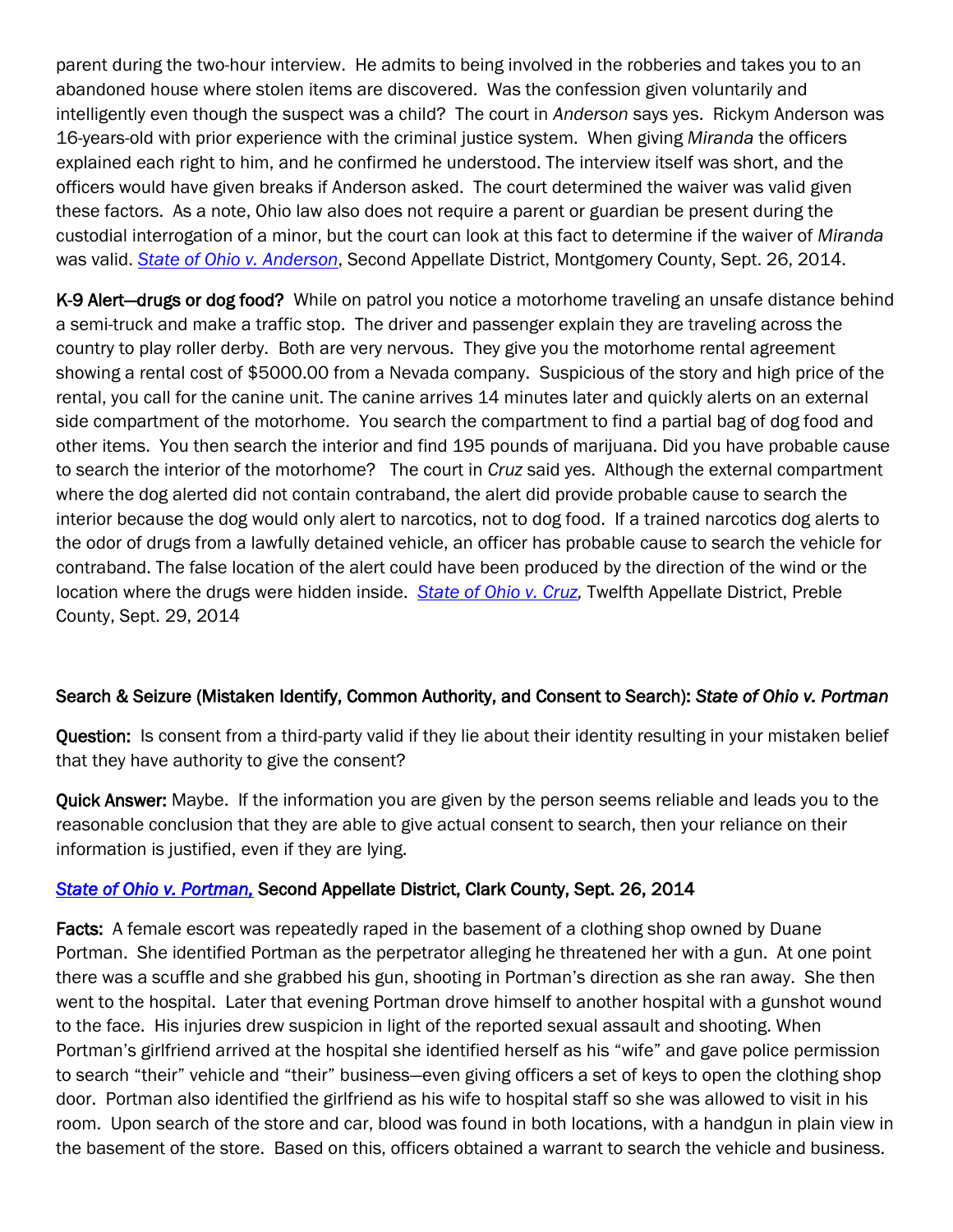parent during the two-hour interview. He admits to being involved in the robberies and takes you to an abandoned house where stolen items are discovered. Was the confession given voluntarily and intelligently even though the suspect was a child? The court in *Anderson* says yes. Rickym Anderson was 16-years-old with prior experience with the criminal justice system. When giving *Miranda* the officers explained each right to him, and he confirmed he understood. The interview itself was short, and the officers would have given breaks if Anderson asked. The court determined the waiver was valid given these factors. As a note, Ohio law also does not require a parent or guardian be present during the custodial interrogation of a minor, but the court can look at this fact to determine if the waiver of *Miranda* was valid. *[State of Ohio v. Anderson](http://www.sconet.state.oh.us/rod/docs/pdf/2/2014/2014-ohio-4245.pdf)*, Second Appellate District, Montgomery County, Sept. 26, 2014.

K-9 Alert-drugs or dog food? While on patrol you notice a motorhome traveling an unsafe distance behind a semi-truck and make a traffic stop. The driver and passenger explain they are traveling across the country to play roller derby. Both are very nervous. They give you the motorhome rental agreement showing a rental cost of \$5000.00 from a Nevada company. Suspicious of the story and high price of the rental, you call for the canine unit. The canine arrives 14 minutes later and quickly alerts on an external side compartment of the motorhome. You search the compartment to find a partial bag of dog food and other items. You then search the interior and find 195 pounds of marijuana. Did you have probable cause to search the interior of the motorhome? The court in *Cruz* said yes. Although the external compartment where the dog alerted did not contain contraband, the alert did provide probable cause to search the interior because the dog would only alert to narcotics, not to dog food. If a trained narcotics dog alerts to the odor of drugs from a lawfully detained vehicle, an officer has probable cause to search the vehicle for contraband. The false location of the alert could have been produced by the direction of the wind or the location where the drugs were hidden inside. *State of Ohio v. Cruz*, Twelfth Appellate District, Preble County, Sept. 29, 2014

## Search & Seizure (Mistaken Identify, Common Authority, and Consent to Search): *State of Ohio v. Portman*

Question: Is consent from a third-party valid if they lie about their identity resulting in your mistaken belief that they have authority to give the consent?

Quick Answer: Maybe. If the information you are given by the person seems reliable and leads you to the reasonable conclusion that they are able to give actual consent to search, then your reliance on their information is justified, even if they are lying.

#### *[State of Ohio v. Portman,](http://www.sconet.state.oh.us/rod/docs/pdf/2/2014/2014-ohio-4343.pdf)* Second Appellate District, Clark County, Sept. 26, 2014

Facts: A female escort was repeatedly raped in the basement of a clothing shop owned by Duane Portman. She identified Portman as the perpetrator alleging he threatened her with a gun. At one point there was a scuffle and she grabbed his gun, shooting in Portman"s direction as she ran away. She then went to the hospital. Later that evening Portman drove himself to another hospital with a gunshot wound to the face. His injuries drew suspicion in light of the reported sexual assault and shooting. When Portman"s girlfriend arrived at the hospital she identified herself as his "wife" and gave police permission to search "their" vehicle and "their" business—even giving officers a set of keys to open the clothing shop door. Portman also identified the girlfriend as his wife to hospital staff so she was allowed to visit in his room. Upon search of the store and car, blood was found in both locations, with a handgun in plain view in the basement of the store. Based on this, officers obtained a warrant to search the vehicle and business.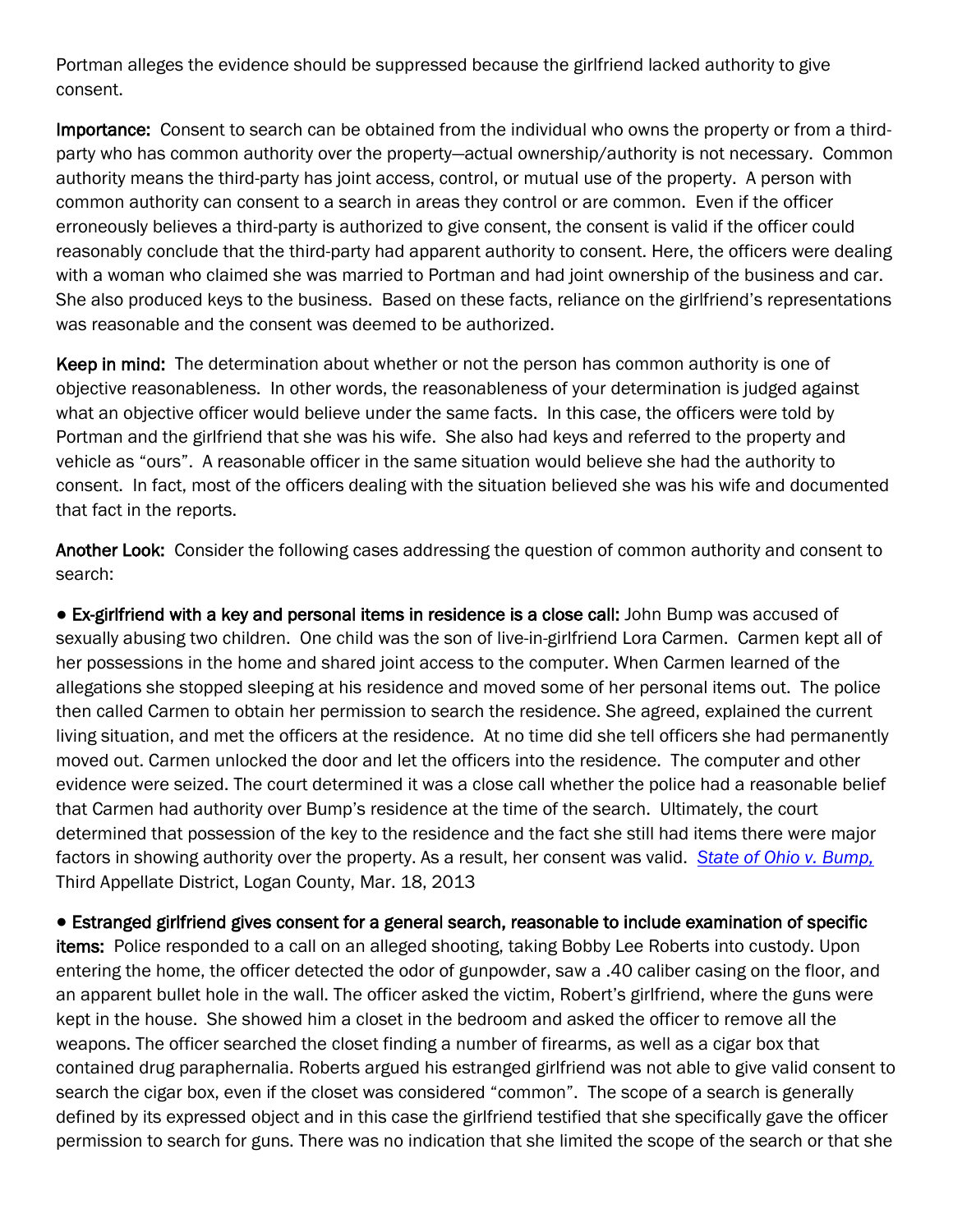Portman alleges the evidence should be suppressed because the girlfriend lacked authority to give consent.

Importance: Consent to search can be obtained from the individual who owns the property or from a thirdparty who has common authority over the property—actual ownership/authority is not necessary. Common authority means the third-party has joint access, control, or mutual use of the property. A person with common authority can consent to a search in areas they control or are common. Even if the officer erroneously believes a third-party is authorized to give consent, the consent is valid if the officer could reasonably conclude that the third-party had apparent authority to consent. Here, the officers were dealing with a woman who claimed she was married to Portman and had joint ownership of the business and car. She also produced keys to the business. Based on these facts, reliance on the girlfriend"s representations was reasonable and the consent was deemed to be authorized.

Keep in mind: The determination about whether or not the person has common authority is one of objective reasonableness. In other words, the reasonableness of your determination is judged against what an objective officer would believe under the same facts. In this case, the officers were told by Portman and the girlfriend that she was his wife. She also had keys and referred to the property and vehicle as "ours". A reasonable officer in the same situation would believe she had the authority to consent. In fact, most of the officers dealing with the situation believed she was his wife and documented that fact in the reports.

Another Look: Consider the following cases addressing the question of common authority and consent to search:

● Ex-girlfriend with a key and personal items in residence is a close call: John Bump was accused of sexually abusing two children. One child was the son of live-in-girlfriend Lora Carmen. Carmen kept all of her possessions in the home and shared joint access to the computer. When Carmen learned of the allegations she stopped sleeping at his residence and moved some of her personal items out. The police then called Carmen to obtain her permission to search the residence. She agreed, explained the current living situation, and met the officers at the residence. At no time did she tell officers she had permanently moved out. Carmen unlocked the door and let the officers into the residence. The computer and other evidence were seized. The court determined it was a close call whether the police had a reasonable belief that Carmen had authority over Bump"s residence at the time of the search. Ultimately, the court determined that possession of the key to the residence and the fact she still had items there were major factors in showing authority over the property. As a result, her consent was valid. *[State of Ohio v. Bump,](http://www.sconet.state.oh.us/rod/docs/pdf/3/2013/2013-ohio-1006.pdf)* Third Appellate District, Logan County, Mar. 18, 2013

● Estranged girlfriend gives consent for a general search, reasonable to include examination of specific items: Police responded to a call on an alleged shooting, taking Bobby Lee Roberts into custody. Upon entering the home, the officer detected the odor of gunpowder, saw a .40 caliber casing on the floor, and an apparent bullet hole in the wall. The officer asked the victim, Robert"s girlfriend, where the guns were kept in the house. She showed him a closet in the bedroom and asked the officer to remove all the weapons. The officer searched the closet finding a number of firearms, as well as a cigar box that contained drug paraphernalia. Roberts argued his estranged girlfriend was not able to give valid consent to search the cigar box, even if the closet was considered "common". The scope of a search is generally defined by its expressed object and in this case the girlfriend testified that she specifically gave the officer permission to search for guns. There was no indication that she limited the scope of the search or that she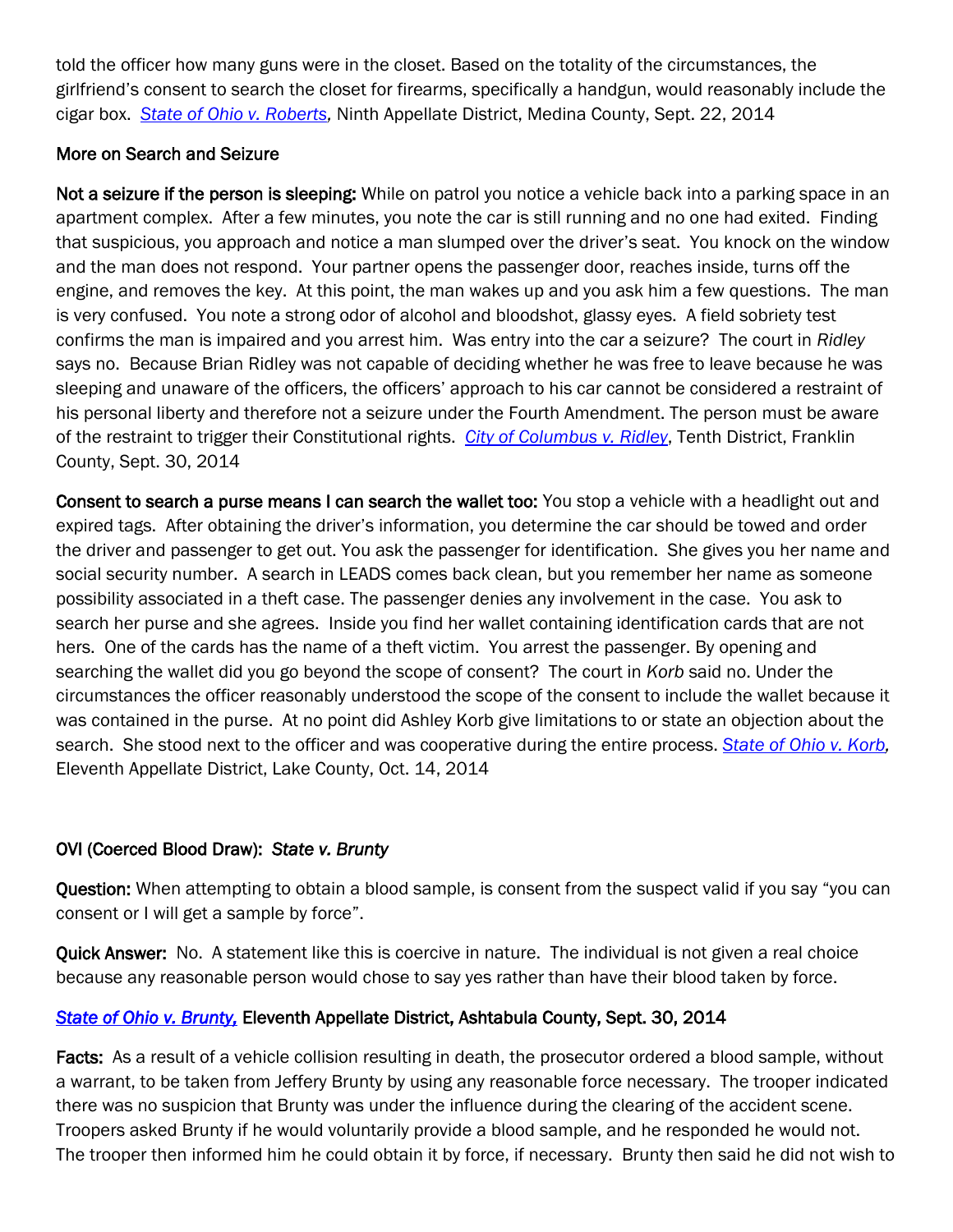told the officer how many guns were in the closet. Based on the totality of the circumstances, the girlfriend"s consent to search the closet for firearms, specifically a handgun, would reasonably include the cigar box. *[State of Ohio v. Roberts,](http://www.sconet.state.oh.us/rod/docs/pdf/9/2014/2014-ohio-4126.pdf)* Ninth Appellate District, Medina County, Sept. 22, 2014

## More on Search and Seizure

Not a seizure if the person is sleeping: While on patrol you notice a vehicle back into a parking space in an apartment complex. After a few minutes, you note the car is still running and no one had exited. Finding that suspicious, you approach and notice a man slumped over the driver"s seat. You knock on the window and the man does not respond. Your partner opens the passenger door, reaches inside, turns off the engine, and removes the key. At this point, the man wakes up and you ask him a few questions. The man is very confused. You note a strong odor of alcohol and bloodshot, glassy eyes. A field sobriety test confirms the man is impaired and you arrest him. Was entry into the car a seizure? The court in *Ridley* says no. Because Brian Ridley was not capable of deciding whether he was free to leave because he was sleeping and unaware of the officers, the officers" approach to his car cannot be considered a restraint of his personal liberty and therefore not a seizure under the Fourth Amendment. The person must be aware of the restraint to trigger their Constitutional rights. *[City of Columbus v. Ridley](http://www.sconet.state.oh.us/rod/docs/pdf/10/2014/2014-ohio-4356.pdf)*, Tenth District, Franklin County, Sept. 30, 2014

Consent to search a purse means I can search the wallet too: You stop a vehicle with a headlight out and expired tags. After obtaining the driver"s information, you determine the car should be towed and order the driver and passenger to get out. You ask the passenger for identification. She gives you her name and social security number. A search in LEADS comes back clean, but you remember her name as someone possibility associated in a theft case. The passenger denies any involvement in the case. You ask to search her purse and she agrees. Inside you find her wallet containing identification cards that are not hers. One of the cards has the name of a theft victim. You arrest the passenger. By opening and searching the wallet did you go beyond the scope of consent? The court in *Korb* said no. Under the circumstances the officer reasonably understood the scope of the consent to include the wallet because it was contained in the purse. At no point did Ashley Korb give limitations to or state an objection about the search. She stood next to the officer and was cooperative during the entire process. *[State of Ohio v. Korb,](http://www.sconet.state.oh.us/rod/docs/pdf/11/2014/2014-ohio-4543.pdf)*  Eleventh Appellate District, Lake County, Oct. 14, 2014

## OVI (Coerced Blood Draw): *State v. Brunty*

Question: When attempting to obtain a blood sample, is consent from the suspect valid if you say "you can consent or I will get a sample by force".

Quick Answer: No. A statement like this is coercive in nature. The individual is not given a real choice because any reasonable person would chose to say yes rather than have their blood taken by force.

## *[State of Ohio v. Brunty,](http://www.sconet.state.oh.us/rod/docs/pdf/11/2014/2014-ohio-4307.pdf)* Eleventh Appellate District, Ashtabula County, Sept. 30, 2014

Facts: As a result of a vehicle collision resulting in death, the prosecutor ordered a blood sample, without a warrant, to be taken from Jeffery Brunty by using any reasonable force necessary. The trooper indicated there was no suspicion that Brunty was under the influence during the clearing of the accident scene. Troopers asked Brunty if he would voluntarily provide a blood sample, and he responded he would not. The trooper then informed him he could obtain it by force, if necessary. Brunty then said he did not wish to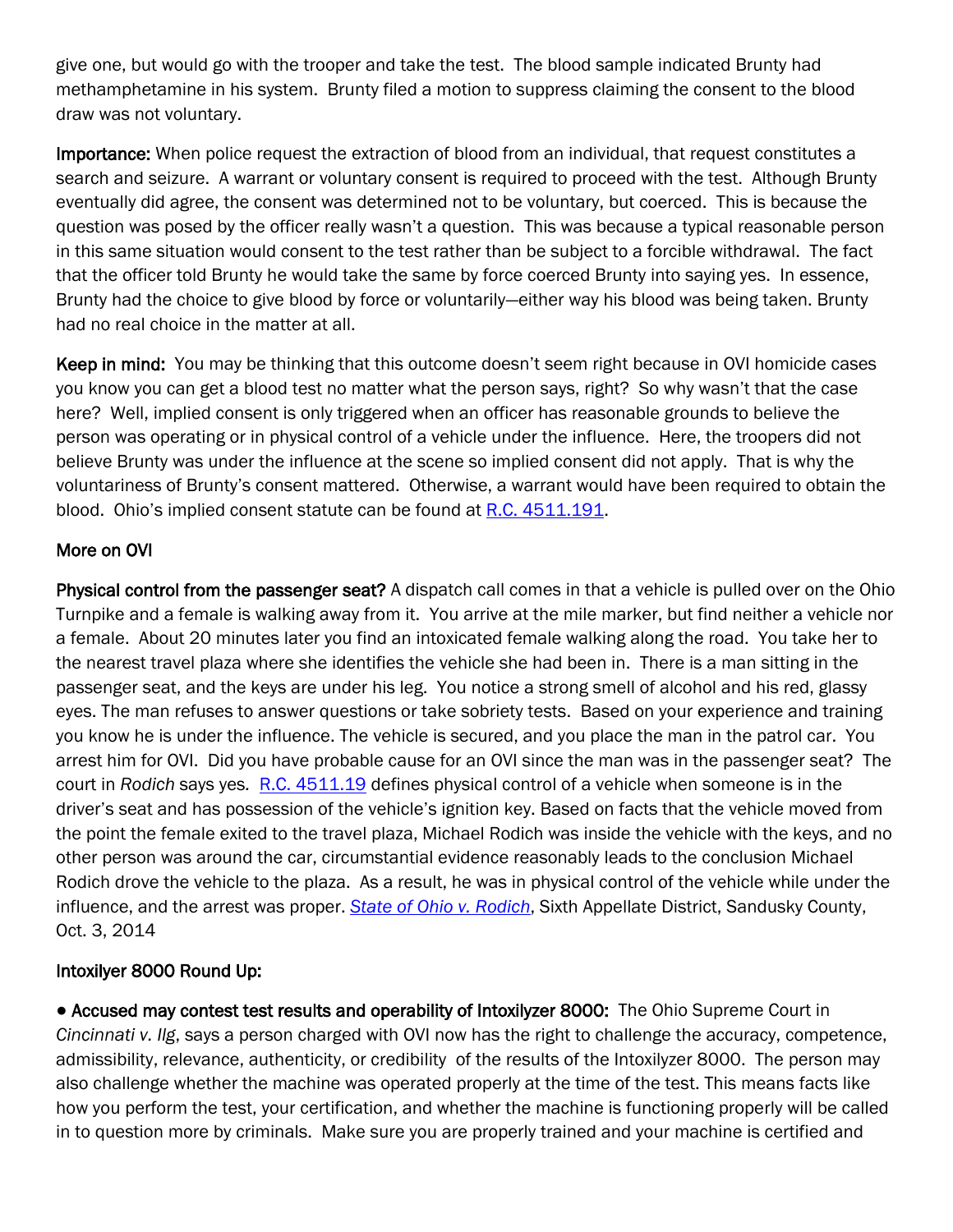give one, but would go with the trooper and take the test. The blood sample indicated Brunty had methamphetamine in his system. Brunty filed a motion to suppress claiming the consent to the blood draw was not voluntary.

Importance: When police request the extraction of blood from an individual, that request constitutes a search and seizure. A warrant or voluntary consent is required to proceed with the test. Although Brunty eventually did agree, the consent was determined not to be voluntary, but coerced. This is because the question was posed by the officer really wasn"t a question. This was because a typical reasonable person in this same situation would consent to the test rather than be subject to a forcible withdrawal. The fact that the officer told Brunty he would take the same by force coerced Brunty into saying yes. In essence, Brunty had the choice to give blood by force or voluntarily—either way his blood was being taken. Brunty had no real choice in the matter at all.

Keep in mind: You may be thinking that this outcome doesn't seem right because in OVI homicide cases you know you can get a blood test no matter what the person says, right? So why wasn"t that the case here? Well, implied consent is only triggered when an officer has reasonable grounds to believe the person was operating or in physical control of a vehicle under the influence. Here, the troopers did not believe Brunty was under the influence at the scene so implied consent did not apply. That is why the voluntariness of Brunty"s consent mattered. Otherwise, a warrant would have been required to obtain the blood. Ohio's implied consent statute can be found at [R.C. 4511.191.](http://codes.ohio.gov/orc/4511.191)

## More on OVI

Physical control from the passenger seat? A dispatch call comes in that a vehicle is pulled over on the Ohio Turnpike and a female is walking away from it. You arrive at the mile marker, but find neither a vehicle nor a female. About 20 minutes later you find an intoxicated female walking along the road. You take her to the nearest travel plaza where she identifies the vehicle she had been in. There is a man sitting in the passenger seat, and the keys are under his leg. You notice a strong smell of alcohol and his red, glassy eyes. The man refuses to answer questions or take sobriety tests. Based on your experience and training you know he is under the influence. The vehicle is secured, and you place the man in the patrol car. You arrest him for OVI. Did you have probable cause for an OVI since the man was in the passenger seat? The court in *Rodich* says yes*.* [R.C. 4511.19](http://codes.ohio.gov/orc/4511.19) defines physical control of a vehicle when someone is in the driver"s seat and has possession of the vehicle"s ignition key. Based on facts that the vehicle moved from the point the female exited to the travel plaza, Michael Rodich was inside the vehicle with the keys, and no other person was around the car, circumstantial evidence reasonably leads to the conclusion Michael Rodich drove the vehicle to the plaza. As a result, he was in physical control of the vehicle while under the influence, and the arrest was proper. *[State of Ohio v. Rodich](http://www.sconet.state.oh.us/rod/docs/pdf/6/2014/2014-ohio-4399.pdf)*, Sixth Appellate District, Sandusky County, Oct. 3, 2014

## Intoxilyer 8000 Round Up:

● Accused may contest test results and operability of Intoxilyzer 8000: The Ohio Supreme Court in *Cincinnati v. Ilg*, says a person charged with OVI now has the right to challenge the accuracy, competence, admissibility, relevance, authenticity, or credibility of the results of the Intoxilyzer 8000. The person may also challenge whether the machine was operated properly at the time of the test. This means facts like how you perform the test, your certification, and whether the machine is functioning properly will be called in to question more by criminals. Make sure you are properly trained and your machine is certified and